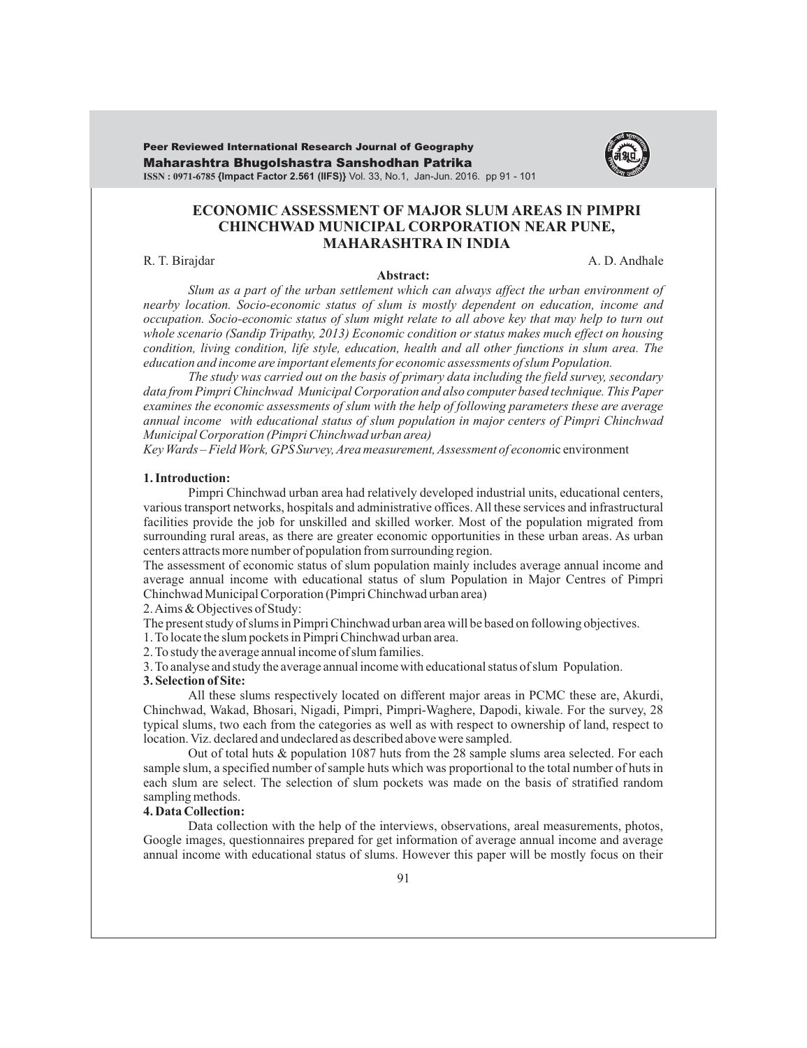Maharashtra Bhugolshastra Sanshodhan Patrika **ISSN : 0971-6785 {Impact Factor 2.561 (IIFS)}** Vol. 33, No.1, Jan-Jun. 2016. pp 91 - 101 Peer Reviewed International Research Journal of Geography



# **ECONOMIC ASSESSMENT OF MAJOR SLUM AREAS IN PIMPRI CHINCHWAD MUNICIPAL CORPORATION NEAR PUNE, MAHARASHTRA IN INDIA**

R. T. Birajdar A. D. Andhale

#### **Abstract:**

*Slum as a part of the urban settlement which can always affect the urban environment of nearby location. Socio-economic status of slum is mostly dependent on education, income and occupation. Socio-economic status of slum might relate to all above key that may help to turn out whole scenario (Sandip Tripathy, 2013) Economic condition or status makes much effect on housing condition, living condition, life style, education, health and all functions in slum area. The other education and income are important elements for economic assessments of slum Population.*

*The study was carried out on the basis of primary data including the field survey, secondary data from Pimpri Chinchwad Municipal Corporation and also computer based technique. This Paper examines the economic assessments of slum with the help of following parameters these are average annual income with educational status of slum population in major centers of Pimpri Chinchwad Municipal Corporation (Pimpri Chinchwad urban area)* 

*Key Wards – Field Work, GPS Survey, Area measurement, Assessment of econom*ic environment

#### **1. Introduction:**

Pimpri Chinchwad urban area had relatively developed industrial units, educational centers, various transport networks, hospitals and administrative offices. All these services and infrastructural facilities provide the job for unskilled and skilled worker. Most of the population migrated from surrounding rural areas, as there are greater economic opportunities in these urban areas. As urban centers attracts more number of population from surrounding region.

The assessment of economic status of slum population mainly includes average annual income and average annual income with educational status of slum Population in Major Centres of Pimpri Chinchwad Municipal Corporation (Pimpri Chinchwad urban area)

2. Aims & Objectives of Study:

The present study of slums in Pimpri Chinchwad urban area will be based on following objectives.

1. To locate the slum pockets in Pimpri Chinchwad urban area.

2. To study the average annual income of slum families.

3. To analyse and study the average annual income with educational status of slum Population.

### **3. Selection of Site:**

All these slums respectively located on different major areas in PCMC these are, Akurdi, Chinchwad, Wakad, Bhosari, Nigadi, Pimpri, Pimpri-Waghere, Dapodi, kiwale. For the survey, 28 typical slums, two each from the categories as well as with respect to ownership of land, respect to location. Viz. declared and undeclared as described above were sampled.

Out of total huts & population 1087 huts from the 28 sample slums area selected. For each sample slum, a specified number of sample huts which was proportional to the total number of huts in each slum are select. The selection of slum pockets was made on the basis of stratified random sampling methods.

# **4. Data Collection:**

Data collection with the help of the interviews, observations, areal measurements, photos, Google images, questionnaires prepared for get information of average annual income and average annual income with educational status of slums. However this paper will be mostly focus on their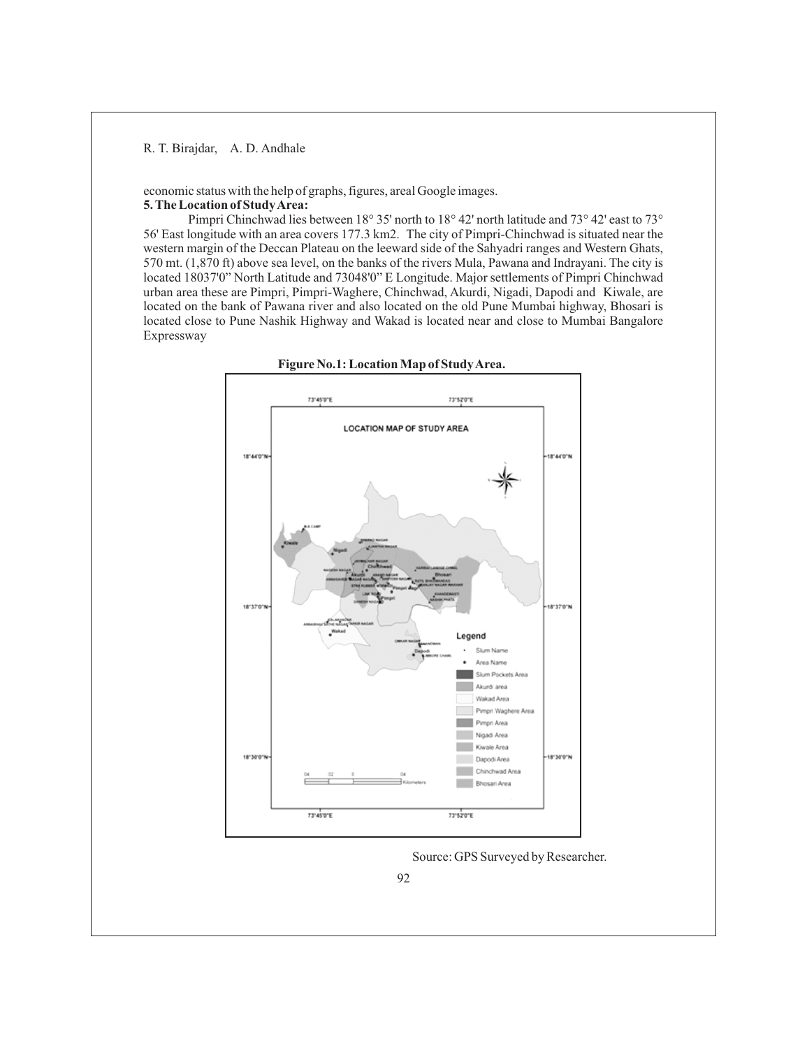economic status with the help of graphs, figures, areal Google images. **5. The Location of Study Area:** 

Pimpri Chinchwad lies between 18° 35' north to 18° 42' north latitude and 73° 42' east to 73° 56' East longitude with an area covers 177.3 km2. The city of Pimpri-Chinchwad is situated near the western margin of the Deccan Plateau on the leeward side of the Sahyadri ranges and Western Ghats, 570 mt. (1,870 ft) above sea level, on the banks of the rivers Mula, Pawana and Indrayani. The city is located 18037'0" North Latitude and 73048'0" E Longitude. Major settlements of Pimpri Chinchwad urban area these are Pimpri, Pimpri-Waghere, Chinchwad, Akurdi, Nigadi, Dapodi and Kiwale, are located on the bank of Pawana river and also located on the old Pune Mumbai highway, Bhosari is located close to Pune Nashik Highway and Wakad is located near and close to Mumbai Bangalore Expressway





Source: GPS Surveyed by Researcher.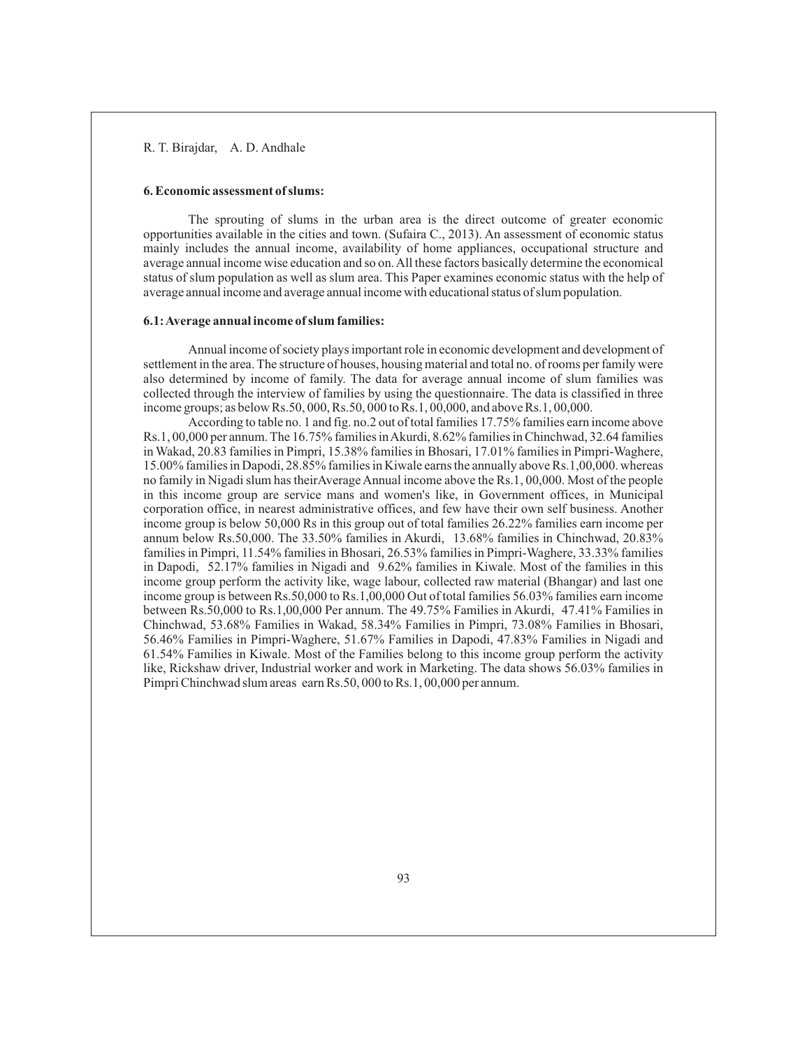#### **6. Economic assessment of slums:**

The sprouting of slums in the urban area is the direct outcome of greater economic opportunities available in the cities and town. (Sufaira C., 2013). An assessment of economic status mainly includes the annual income, availability of home appliances, occupational structure and average annual income wise education and so on. All these factors basically determine the economical status of slum population as well as slum area. This Paper examines economic status with the help of average annual income and average annual income with educational status of slum population.

#### **6.1: Average annual income of slum families:**

Annual income of society plays important role in economic development and development of settlement in the area. The structure of houses, housing material and total no. of rooms per family were also determined by income of family. The data for average annual income of slum families was collected through the interview of families by using the questionnaire. The data is classified in three income groups; as below Rs.50, 000, Rs.50, 000 to Rs.1, 00,000, and above Rs.1, 00,000.

According to table no. 1 and fig. no.2 out of total families 17.75% families earn income above Rs.1, 00,000 per annum. The 16.75% families in Akurdi, 8.62% families in Chinchwad, 32.64 families in Wakad, 20.83 families in Pimpri, 15.38% families in Bhosari, 17.01% families in Pimpri-Waghere, 15.00% families in Dapodi, 28.85% families in Kiwale earns the annually above Rs.1,00,000. whereas no family in Nigadi slum has theirAverage Annual income above the Rs.1, 00,000. Most of the people in this income group are service mans and women's like, in Government offices, in Municipal corporation office, in nearest administrative offices, and few have their own self business. Another income group is below 50,000 Rs in this group out of total families 26.22% families earn income per annum below Rs.50,000. The 33.50% families in Akurdi, 13.68% families in Chinchwad, 20.83% families in Pimpri, 11.54% families in Bhosari, 26.53% families in Pimpri-Waghere, 33.33% families in Dapodi, 52.17% families in Nigadi and 9.62% families in Kiwale. Most of the families in this income group perform the activity like, wage labour, collected raw material (Bhangar) and last one income group is between Rs.50,000 to Rs.1,00,000 Out of total families 56.03% families earn income between Rs.50,000 to Rs.1,00,000 Per annum. The 49.75% Families in Akurdi, 47.41% Families in Chinchwad, 53.68% Families in Wakad, 58.34% Families in Pimpri, 73.08% Families in Bhosari, 56.46% Families in Pimpri-Waghere, 51.67% Families in Dapodi, 47.83% Families in Nigadi and 61.54% Families in Kiwale. Most of the Families belong to this income group perform the activity like, Rickshaw driver, Industrial worker and work in Marketing. The data shows 56.03% families in Pimpri Chinchwad slum areas earn Rs.50, 000 to Rs.1, 00,000 per annum.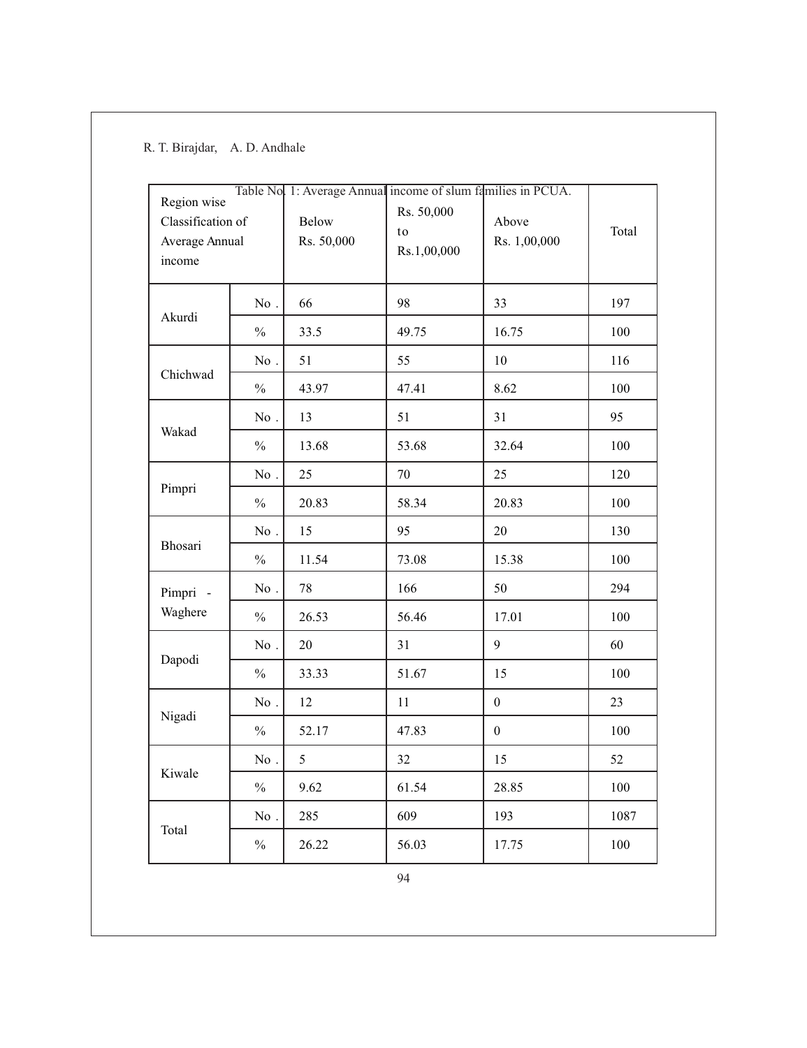| Region wise<br>Classification of<br>Average Annual<br>income |                   | Below<br>Rs. 50,000 | Table No 1: Average Annual income of slum families in PCUA.<br>Rs. 50,000<br>to<br>Rs.1,00,000 | Above<br>Rs. 1,00,000 | Total |
|--------------------------------------------------------------|-------------------|---------------------|------------------------------------------------------------------------------------------------|-----------------------|-------|
|                                                              | $\rm No$ .        | 66                  | 98                                                                                             | 33                    | 197   |
| Akurdi                                                       | $\frac{0}{0}$     | 33.5                | 49.75                                                                                          | 16.75                 | 100   |
|                                                              | No.               | 51                  | 55                                                                                             | 10                    | 116   |
| Chichwad                                                     | $\frac{0}{0}$     | 43.97               | 47.41                                                                                          | 8.62                  | 100   |
|                                                              | No.               | 13                  | 51                                                                                             | 31                    | 95    |
| Wakad                                                        | $\frac{0}{0}$     | 13.68               | 53.68                                                                                          | 32.64                 | 100   |
|                                                              | $\rm No$ .        | 25                  | 70                                                                                             | 25                    | 120   |
| Pimpri                                                       | $\frac{0}{0}$     | 20.83               | 58.34                                                                                          | 20.83                 | 100   |
|                                                              | No.               | 15                  | 95                                                                                             | 20                    | 130   |
| Bhosari                                                      | $\frac{0}{0}$     | 11.54               | 73.08                                                                                          | 15.38                 | 100   |
| Pimpri -                                                     | $\mathrm{No}\,$ . | 78                  | 166                                                                                            | 50                    | 294   |
| Waghere                                                      | $\frac{0}{0}$     | 26.53               | 56.46                                                                                          | 17.01                 | 100   |
|                                                              | No.               | 20                  | 31                                                                                             | 9                     | 60    |
| Dapodi                                                       | $\frac{0}{0}$     | 33.33               | 51.67                                                                                          | 15                    | 100   |
|                                                              | No.               | 12                  | 11                                                                                             | $\boldsymbol{0}$      | 23    |
| Nigadi                                                       | $\frac{0}{0}$     | 52.17               | 47.83                                                                                          | $\boldsymbol{0}$      | 100   |
|                                                              | $\mathrm{No}\,$ . | 5                   | 32                                                                                             | 15                    | 52    |
| Kiwale                                                       | $\frac{0}{0}$     | 9.62                | 61.54                                                                                          | 28.85                 | 100   |
|                                                              | No.               | 285                 | 609                                                                                            | 193                   | 1087  |
| Total                                                        | $\frac{0}{0}$     | 26.22               | 56.03                                                                                          | 17.75                 | 100   |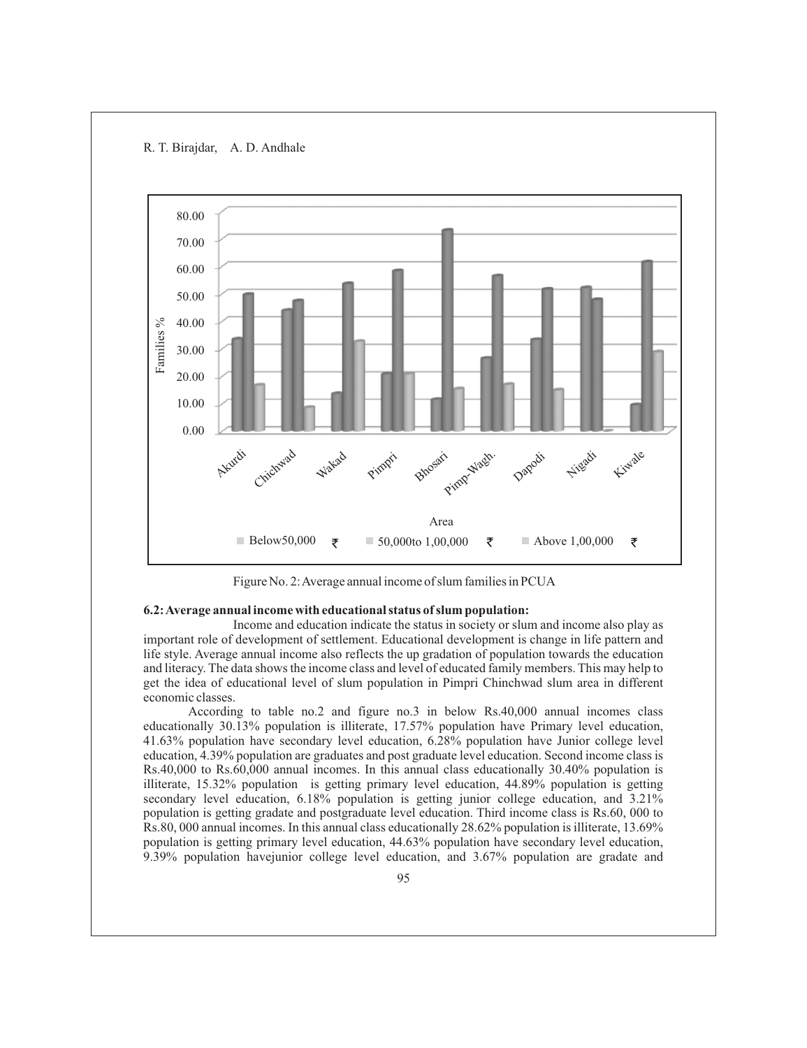R. T. Birajdar, A. D. Andhale



Figure No. 2: Average annual income of slum families in PCUA

### **6.2: Average annual income with educational status of slum population:**

Income and education indicate the status in society or slum and income also play as important role of development of settlement. Educational development is change in life pattern and life style. Average annual income also reflects the up gradation of population towards the education and literacy. The data shows the income class and level of educated family members. This may help to get the idea of educational level of slum population in Pimpri Chinchwad slum area in different economic classes.

According to table no.2 and figure no.3 in below Rs.40,000 annual incomes class educationally 30.13% population is illiterate, 17.57% population have Primary level education, 41.63% population have secondary level education, 6.28% population have Junior college level education, 4.39% population are graduates and post graduate level education. Second income class is Rs.40,000 to Rs.60,000 annual incomes. In this annual class educationally 30.40% population is illiterate, 15.32% population is getting primary level education, 44.89% population is getting secondary level education, 6.18% population is getting junior college education, and 3.21% population is getting gradate and postgraduate level education. Third income class is Rs.60, 000 to Rs.80, 000 annual incomes. In this annual class educationally 28.62% population is illiterate, 13.69% population is getting primary level education, 44.63% population have secondary level education, 9.39% population havejunior college level education, and 3.67% population are gradate and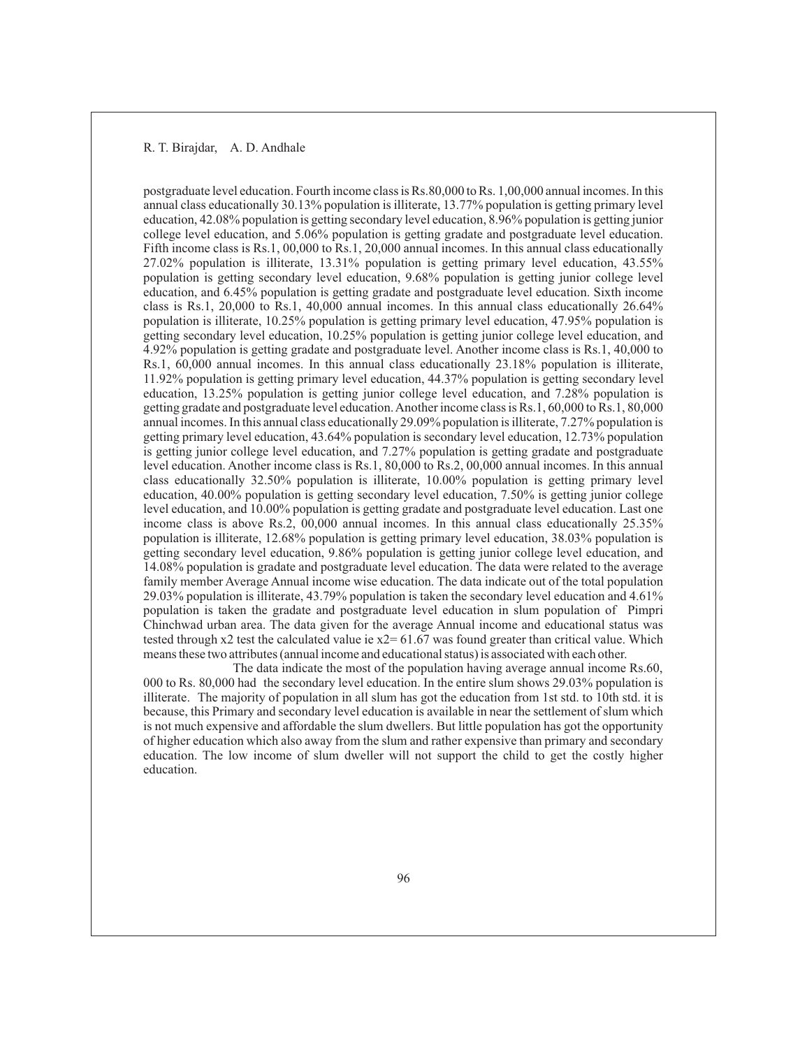postgraduate level education. Fourth income class is Rs.80,000 to Rs. 1,00,000 annual incomes. In this annual class educationally 30.13% population is illiterate, 13.77% population is getting primary level education, 42.08% population is getting secondary level education, 8.96% population is getting junior college level education, and 5.06% population is getting gradate and postgraduate level education. Fifth income class is Rs.1, 00,000 to Rs.1, 20,000 annual incomes. In this annual class educationally 27.02% population is illiterate, 13.31% population is getting primary level education, 43.55% population is getting secondary level education, 9.68% population is getting junior college level education, and 6.45% population is getting gradate and postgraduate level education. Sixth income class is Rs.1, 20,000 to Rs.1, 40,000 annual incomes. In this annual class educationally 26.64% population is illiterate, 10.25% population is getting primary level education, 47.95% population is getting secondary level education, 10.25% population is getting junior college level education, and 4.92% population is getting gradate and postgraduate level. Another income class is Rs.1, 40,000 to Rs.1, 60,000 annual incomes. In this annual class educationally 23.18% population is illiterate, 11.92% population is getting primary level education, 44.37% population is getting secondary level education, 13.25% population is getting junior college level education, and 7.28% population is getting gradate and postgraduate level education. Another income class is Rs.1, 60,000 to Rs.1, 80,000 annual incomes. In this annual class educationally 29.09% population is illiterate, 7.27% population is getting primary level education, 43.64% population is secondary level education, 12.73% population is getting junior college level education, and 7.27% population is getting gradate and postgraduate level education. Another income class is Rs.1, 80,000 to Rs.2, 00,000 annual incomes. In this annual class educationally 32.50% population is illiterate, 10.00% population is getting primary level education, 40.00% population is getting secondary level education, 7.50% is getting junior college level education, and 10.00% population is getting gradate and postgraduate level education. Last one income class is above Rs.2, 00,000 annual incomes. In this annual class educationally 25.35% population is illiterate, 12.68% population is getting primary level education, 38.03% population is getting secondary level education, 9.86% population is getting junior college level education, and 14.08% population is gradate and postgraduate level education. The data were related to the average family member Average Annual income wise education. The data indicate out of the total population 29.03% population is illiterate, 43.79% population is taken the secondary level education and 4.61% population is taken the gradate and postgraduate level education in slum population of Pimpri Chinchwad urban area. The data given for the average Annual income and educational status was tested through  $x^2$  test the calculated value ie  $x^2 = 61.67$  was found greater than critical value. Which means these two attributes (annual income and educational status) is associated with each other.

The data indicate the most of the population having average annual income Rs.60, 000 to Rs. 80,000 had the secondary level education. In the entire slum shows 29.03% population is illiterate. The majority of population in all slum has got the education from 1st std. to 10th std. it is because, this Primary and secondary level education is available in near the settlement of slum which is not much expensive and affordable the slum dwellers. But little population has got the opportunity of higher education which also away from the slum and rather expensive than primary and secondary education. The low income of slum dweller will not support the child to get the costly higher education.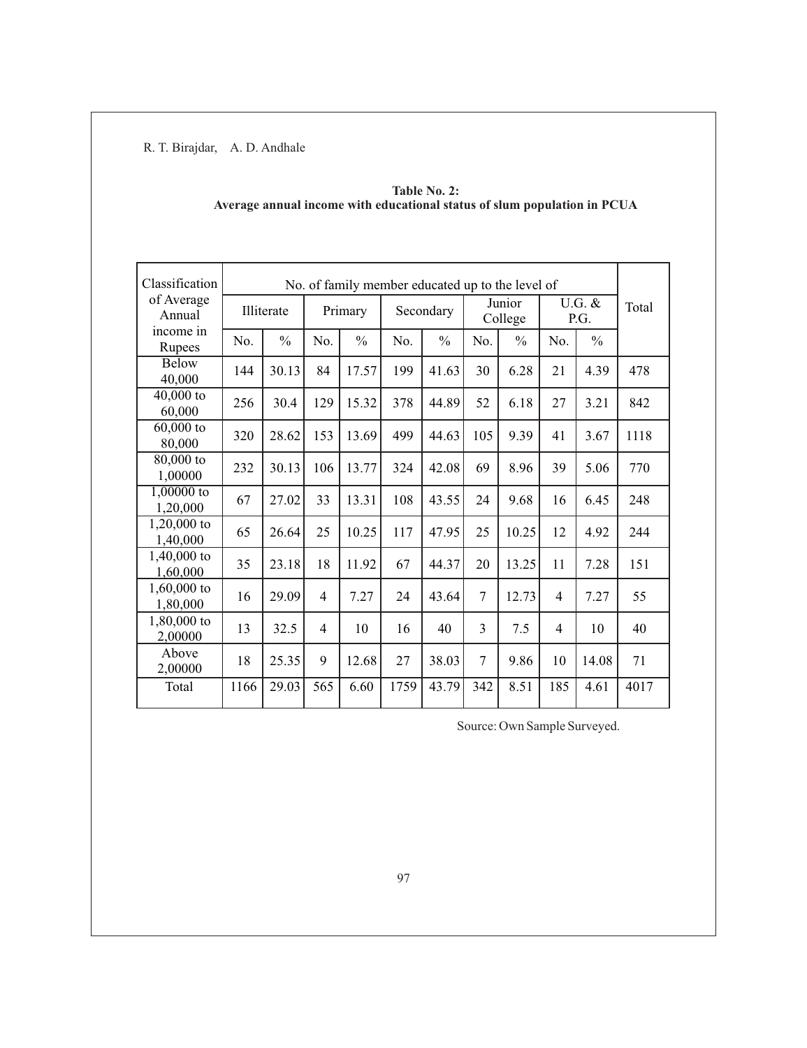| Classification            | No. of family member educated up to the level of |               |                |               |           |               |                   |               |                |               |       |
|---------------------------|--------------------------------------------------|---------------|----------------|---------------|-----------|---------------|-------------------|---------------|----------------|---------------|-------|
| of Average<br>Annual      | Illiterate                                       |               | Primary        |               | Secondary |               | Junior<br>College |               | U.G. &<br>P.G. |               | Total |
| income in<br>Rupees       | No.                                              | $\frac{0}{0}$ | No.            | $\frac{0}{0}$ | No.       | $\frac{0}{0}$ | No.               | $\frac{0}{0}$ | No.            | $\frac{0}{0}$ |       |
| Below<br>40,000           | 144                                              | 30.13         | 84             | 17.57         | 199       | 41.63         | 30                | 6.28          | 21             | 4.39          | 478   |
| $40,000$ to<br>60,000     | 256                                              | 30.4          | 129            | 15.32         | 378       | 44.89         | 52                | 6.18          | 27             | 3.21          | 842   |
| $60,000$ to<br>80,000     | 320                                              | 28.62         | 153            | 13.69         | 499       | 44.63         | 105               | 9.39          | 41             | 3.67          | 1118  |
| 80,000 to<br>1,00000      | 232                                              | 30.13         | 106            | 13.77         | 324       | 42.08         | 69                | 8.96          | 39             | 5.06          | 770   |
| $1,00000$ to<br>1,20,000  | 67                                               | 27.02         | 33             | 13.31         | 108       | 43.55         | 24                | 9.68          | 16             | 6.45          | 248   |
| $1,20,000$ to<br>1,40,000 | 65                                               | 26.64         | 25             | 10.25         | 117       | 47.95         | 25                | 10.25         | 12             | 4.92          | 244   |
| 1,40,000 to<br>1,60,000   | 35                                               | 23.18         | 18             | 11.92         | 67        | 44.37         | 20                | 13.25         | 11             | 7.28          | 151   |
| $1,60,000$ to<br>1,80,000 | 16                                               | 29.09         | $\overline{4}$ | 7.27          | 24        | 43.64         | $\tau$            | 12.73         | $\overline{4}$ | 7.27          | 55    |
| 1,80,000 to<br>2,00000    | 13                                               | 32.5          | $\overline{4}$ | 10            | 16        | 40            | 3                 | 7.5           | $\overline{4}$ | 10            | 40    |
| Above<br>2,00000          | 18                                               | 25.35         | 9              | 12.68         | 27        | 38.03         | 7                 | 9.86          | 10             | 14.08         | 71    |
| Total                     | 1166                                             | 29.03         | 565            | 6.60          | 1759      | 43.79         | 342               | 8.51          | 185            | 4.61          | 4017  |

| Table No. 2:                                                             |  |
|--------------------------------------------------------------------------|--|
| Average annual income with educational status of slum population in PCUA |  |

Source: Own Sample Surveyed.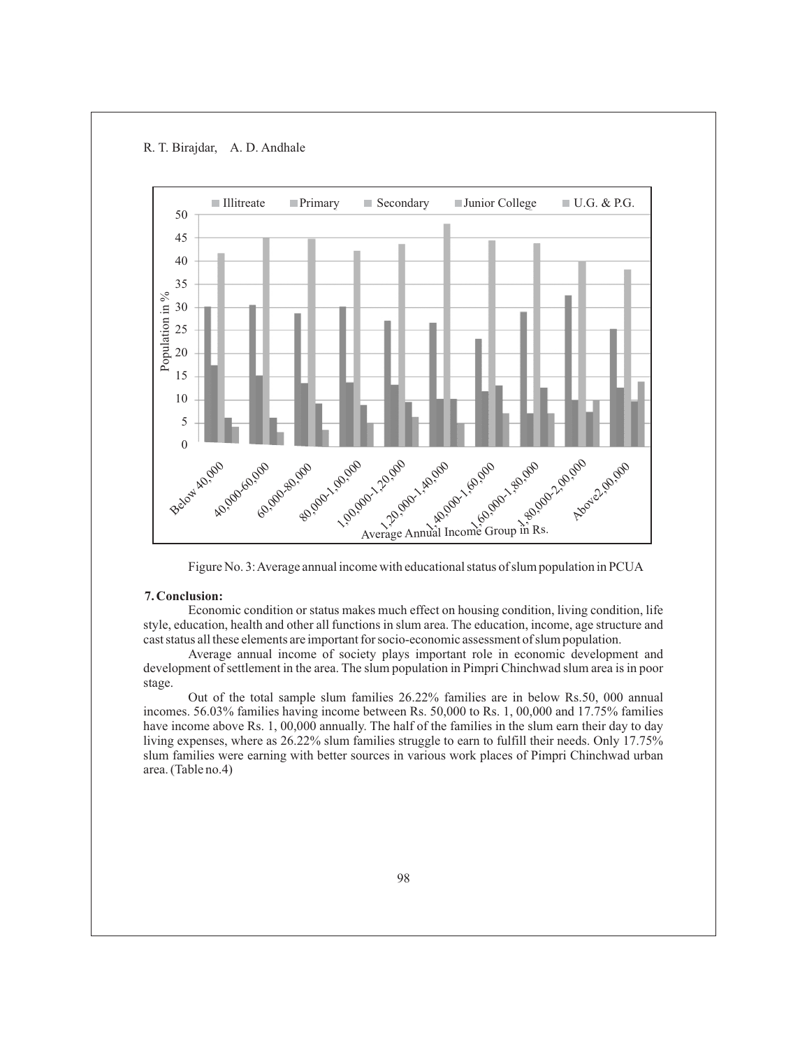R. T. Birajdar, A. D. Andhale



Figure No. 3: Average annual income with educational status of slum population in PCUA

# **7. Conclusion:**

Economic condition or status makes much effect on housing condition, living condition, life style, education, health and other all functions in slum area. The education, income, age structure and cast status all these elements are important for socio-economic assessment of slum population.

Average annual income of society plays important role in economic development and development of settlement in the area. The slum population in Pimpri Chinchwad slum area is in poor stage.

Out of the total sample slum families 26.22% families are in below Rs.50, 000 annual incomes. 56.03% families having income between Rs. 50,000 to Rs. 1, 00,000 and 17.75% families have income above Rs. 1, 00,000 annually. The half of the families in the slum earn their day to day living expenses, where as 26.22% slum families struggle to earn to fulfill their needs. Only 17.75% slum families were earning with better sources in various work places of Pimpri Chinchwad urban area. (Table no.4)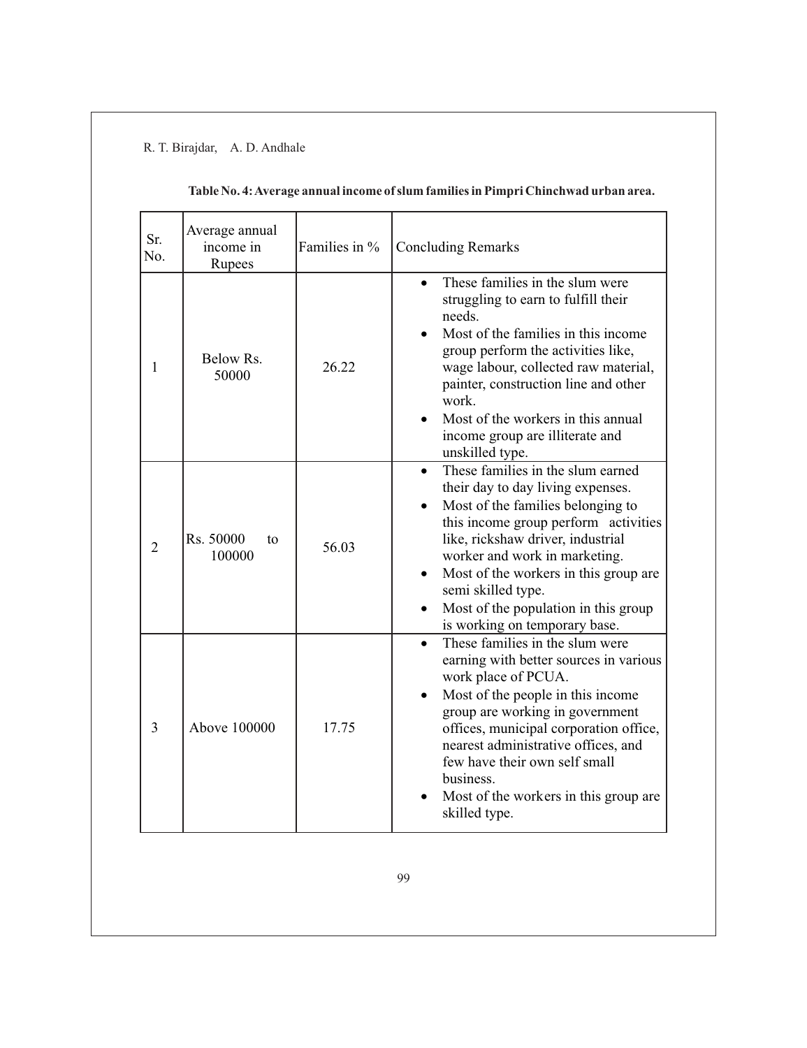| Sr.<br>No.     | Average annual<br>income in<br>Rupees | Families in % | <b>Concluding Remarks</b>                                                                                                                                                                                                                                                                                                                                                      |
|----------------|---------------------------------------|---------------|--------------------------------------------------------------------------------------------------------------------------------------------------------------------------------------------------------------------------------------------------------------------------------------------------------------------------------------------------------------------------------|
| 1              | Below Rs.<br>50000                    | 26.22         | These families in the slum were<br>$\bullet$<br>struggling to earn to fulfill their<br>needs.<br>Most of the families in this income<br>group perform the activities like,<br>wage labour, collected raw material,<br>painter, construction line and other<br>work.<br>Most of the workers in this annual<br>income group are illiterate and<br>unskilled type.                |
| $\overline{2}$ | Rs. 50000<br>to<br>100000             | 56.03         | These families in the slum earned<br>$\bullet$<br>their day to day living expenses.<br>Most of the families belonging to<br>this income group perform activities<br>like, rickshaw driver, industrial<br>worker and work in marketing.<br>Most of the workers in this group are<br>semi skilled type.<br>Most of the population in this group<br>is working on temporary base. |
| 3              | Above 100000                          | 17.75         | These families in the slum were<br>$\bullet$<br>earning with better sources in various<br>work place of PCUA.<br>Most of the people in this income<br>group are working in government<br>offices, municipal corporation office,<br>nearest administrative offices, and<br>few have their own self small<br>business.<br>Most of the workers in this group are<br>skilled type. |

# **Table No. 4: Average annual income of slum families in Pimpri Chinchwad urban area.**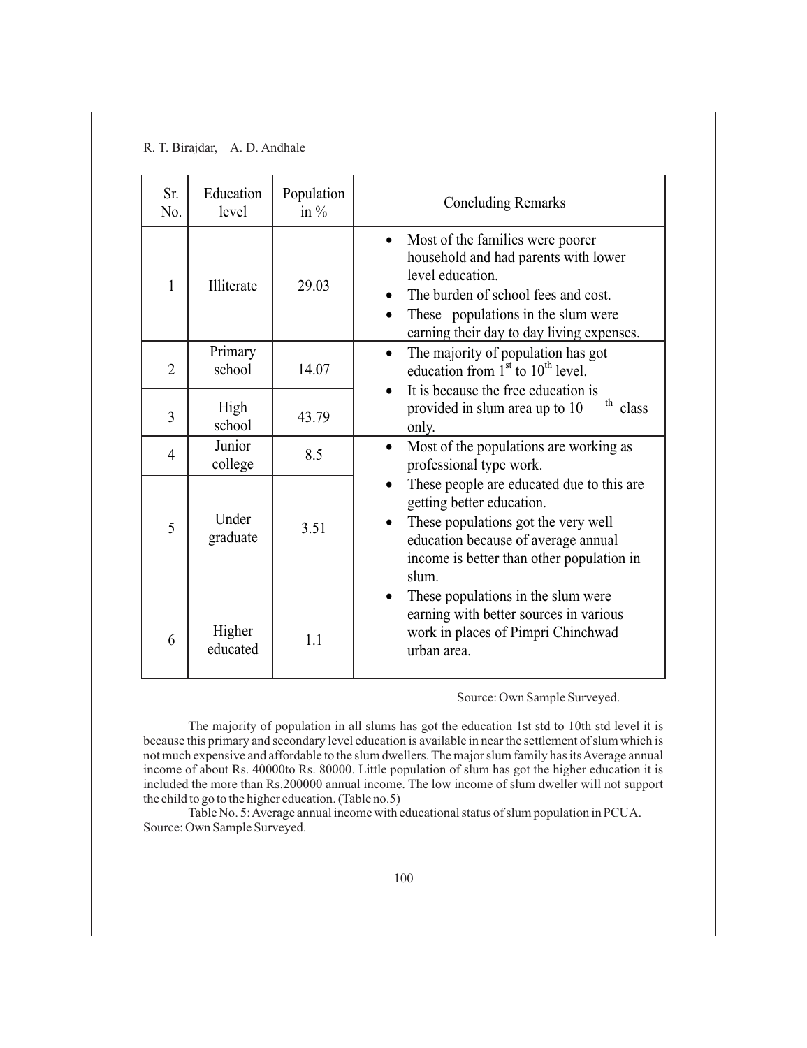| Sr.<br>N <sub>0</sub> . | Education<br>level | Population<br>in $\%$ | <b>Concluding Remarks</b>                                                                                                                                                                                                           |
|-------------------------|--------------------|-----------------------|-------------------------------------------------------------------------------------------------------------------------------------------------------------------------------------------------------------------------------------|
| 1                       | Illiterate         | 29.03                 | Most of the families were poorer<br>$\bullet$<br>household and had parents with lower<br>level education.<br>The burden of school fees and cost.<br>These populations in the slum were<br>earning their day to day living expenses. |
| $\overline{2}$          | Primary<br>school  | 14.07                 | The majority of population has got<br>$\bullet$<br>education from $1st$ to $10th$ level.                                                                                                                                            |
| 3                       | High<br>school     | 43.79                 | It is because the free education is<br>$th$ class<br>provided in slum area up to 10<br>only.                                                                                                                                        |
| $\overline{4}$          | Junior<br>college  | 8.5                   | Most of the populations are working as<br>$\bullet$<br>professional type work.                                                                                                                                                      |
| 5                       | Under<br>graduate  | 3.51                  | These people are educated due to this are<br>getting better education.<br>These populations got the very well<br>$\bullet$<br>education because of average annual<br>income is better than other population in<br>slum.             |
| 6                       | Higher<br>educated | 1.1                   | These populations in the slum were<br>$\bullet$<br>earning with better sources in various<br>work in places of Pimpri Chinchwad<br>urban area.                                                                                      |

Source: Own Sample Surveyed.

The majority of population in all slums has got the education 1st std to 10th std level it is because this primary and secondary level education is available in near the settlement of slum which is not much expensive and affordable to the slum dwellers. The major slum family has its Average annual income of about Rs. 40000to Rs. 80000. Little population of slum has got the higher education it is included the more than Rs.200000 annual income. The low income of slum dweller will not support the child to go to the higher education. (Table no.5)

Table No. 5: Average annual income with educational status of slum population in PCUA. Source: Own Sample Surveyed.